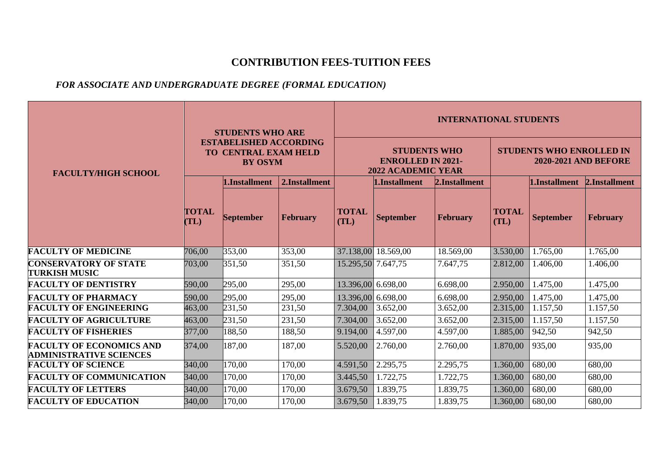## **CONTRIBUTION FEES-TUITION FEES**

## *FOR ASSOCIATE AND UNDERGRADUATE DEGREE (FORMAL EDUCATION)*

|                                                                   |                                                                                | <b>STUDENTS WHO ARE</b> |                 |                                                                              | <b>INTERNATIONAL STUDENTS</b> |                 |                                                                |                  |               |  |  |  |
|-------------------------------------------------------------------|--------------------------------------------------------------------------------|-------------------------|-----------------|------------------------------------------------------------------------------|-------------------------------|-----------------|----------------------------------------------------------------|------------------|---------------|--|--|--|
| <b>FACULTY/HIGH SCHOOL</b>                                        | <b>ESTABELISHED ACCORDING</b><br><b>TO CENTRAL EXAM HELD</b><br><b>BY OSYM</b> |                         |                 | <b>STUDENTS WHO</b><br><b>ENROLLED IN 2021-</b><br><b>2022 ACADEMIC YEAR</b> |                               |                 | <b>STUDENTS WHO ENROLLED IN</b><br><b>2020-2021 AND BEFORE</b> |                  |               |  |  |  |
|                                                                   |                                                                                | 1.Installment           | 2.Installment   |                                                                              | 1.Installment                 | 2.Installment   |                                                                | 1.Installment    | 2.Installment |  |  |  |
|                                                                   | <b>TOTAL</b><br>TL)                                                            | <b>September</b>        | <b>February</b> | <b>TOTAL</b><br>(TL)                                                         | <b>September</b>              | <b>February</b> | <b>TOTAL</b><br>(TL)                                           | <b>September</b> | February      |  |  |  |
| <b>FACULTY OF MEDICINE</b>                                        | 706,00                                                                         | 353,00                  | 353,00          | 37.138,00                                                                    | 18.569,00                     | 18.569,00       | 3.530,00                                                       | 1.765,00         | 1.765,00      |  |  |  |
| <b>CONSERVATORY OF STATE</b><br><b>TURKISH MUSIC</b>              | 703,00                                                                         | 351,50                  | 351,50          | 15.295,50 7.647,75                                                           |                               | 7.647,75        | 2.812,00                                                       | 1.406,00         | 1.406,00      |  |  |  |
| <b>FACULTY OF DENTISTRY</b>                                       | 590,00                                                                         | 295,00                  | 295,00          | 13.396,00 6.698,00                                                           |                               | 6.698,00        | 2.950,00                                                       | 1.475,00         | 1.475,00      |  |  |  |
| <b>FACULTY OF PHARMACY</b>                                        | 590,00                                                                         | 295,00                  | 295,00          | 13.396,00 6.698,00                                                           |                               | 6.698,00        | 2.950,00                                                       | 1.475,00         | 1.475,00      |  |  |  |
| <b>FACULTY OF ENGINEERING</b>                                     | 463,00                                                                         | 231,50                  | 231,50          | 7.304,00                                                                     | 3.652,00                      | 3.652,00        | 2.315,00                                                       | 1.157,50         | 1.157,50      |  |  |  |
| <b>FACULTY OF AGRICULTURE</b>                                     | 463,00                                                                         | 231,50                  | 231,50          | 7.304,00                                                                     | 3.652,00                      | 3.652,00        | 2.315,00                                                       | 1.157,50         | 1.157,50      |  |  |  |
| <b>FACULTY OF FISHERIES</b>                                       | 377,00                                                                         | 188,50                  | 188,50          | 9.194,00                                                                     | 4.597,00                      | 4.597,00        | 1.885,00                                                       | 942,50           | 942,50        |  |  |  |
| <b>FACULTY OF ECONOMICS AND</b><br><b>ADMINISTRATIVE SCIENCES</b> | 374,00                                                                         | 187,00                  | 187,00          | 5.520,00                                                                     | 2.760,00                      | 2.760,00        | 1.870,00                                                       | 935,00           | 935,00        |  |  |  |
| <b>FACULTY OF SCIENCE</b>                                         | 340,00                                                                         | 170,00                  | 170,00          | 4.591,50                                                                     | 2.295,75                      | 2.295,75        | 1.360,00                                                       | 680,00           | 680,00        |  |  |  |
| <b>FACULTY OF COMMUNICATION</b>                                   | 340,00                                                                         | 170,00                  | 170,00          | 3.445,50                                                                     | 1.722,75                      | 1.722,75        | 1.360,00                                                       | 680,00           | 680,00        |  |  |  |
| <b>FACULTY OF LETTERS</b>                                         | 340,00                                                                         | 170,00                  | 170,00          | 3.679,50                                                                     | 1.839,75                      | 1.839,75        | 1.360,00                                                       | 680,00           | 680,00        |  |  |  |
| <b>FACULTY OF EDUCATION</b>                                       | 340,00                                                                         | 170,00                  | 170,00          | 3.679,50                                                                     | 1.839,75                      | 1.839,75        | 1.360,00                                                       | 680,00           | 680,00        |  |  |  |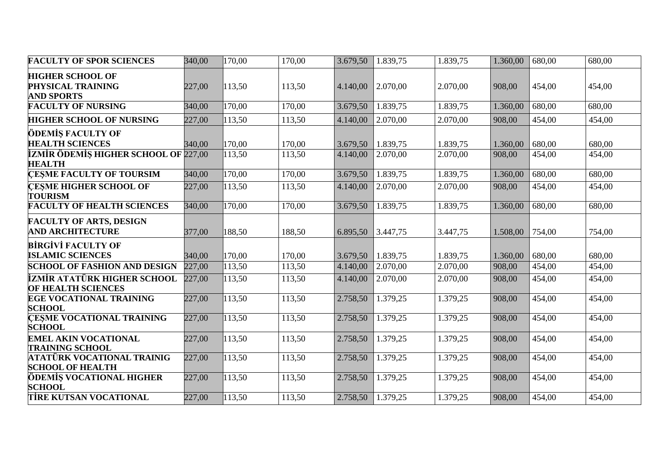| <b>FACULTY OF SPOR SCIENCES</b>                                   | 340,00 | 170,00 | 170,00 | 3.679,50 | 1.839,75 | 1.839,75 | 1.360,00 | 680,00              | 680,00              |
|-------------------------------------------------------------------|--------|--------|--------|----------|----------|----------|----------|---------------------|---------------------|
| <b>HIGHER SCHOOL OF</b><br>PHYSICAL TRAINING<br><b>AND SPORTS</b> | 227,00 | 113,50 | 113,50 | 4.140,00 | 2.070,00 | 2.070,00 | 908,00   | 454,00              | 454,00              |
| <b>FACULTY OF NURSING</b>                                         | 340,00 | 170,00 | 170,00 | 3.679,50 | 1.839,75 | 1.839,75 | 1.360,00 | 680,00              | 680,00              |
| <b>HIGHER SCHOOL OF NURSING</b>                                   | 227,00 | 113,50 | 113,50 | 4.140,00 | 2.070,00 | 2.070,00 | 908,00   | 454,00              | 454,00              |
| ÖDEMİŞ FACULTY OF<br><b>HEALTH SCIENCES</b>                       | 340,00 | 170,00 | 170,00 | 3.679,50 | 1.839,75 | 1.839,75 | 1.360,00 | 680,00              | 680,00              |
| <b>İZMİR ÖDEMİŞ HIGHER SCHOOL OF 227,00</b><br><b>HEALTH</b>      |        | 113,50 | 113,50 | 4.140,00 | 2.070,00 | 2.070,00 | 908,00   | 454,00              | 454,00              |
| <b>CESME FACULTY OF TOURSIM</b>                                   | 340,00 | 170,00 | 170,00 | 3.679,50 | 1.839,75 | 1.839,75 | 1.360,00 | 680,00              | 680,00              |
| <b>CESME HIGHER SCHOOL OF</b><br><b>TOURISM</b>                   | 227,00 | 113,50 | 113,50 | 4.140,00 | 2.070,00 | 2.070,00 | 908,00   | 454,00              | 454,00              |
| <b>FACULTY OF HEALTH SCIENCES</b>                                 | 340,00 | 170,00 | 170,00 | 3.679,50 | 1.839,75 | 1.839,75 | 1.360,00 | $\overline{680,00}$ | 680,00              |
| <b>FACULTY OF ARTS, DESIGN</b><br><b>AND ARCHITECTURE</b>         | 377,00 | 188,50 | 188,50 | 6.895,50 | 3.447,75 | 3.447,75 | 1.508,00 | 754,00              | 754,00              |
| <b>BİRGİVİ FACULTY OF</b><br><b>ISLAMIC SCIENCES</b>              | 340,00 | 170,00 | 170,00 | 3.679,50 | 1.839,75 | 1.839,75 | 1.360,00 | 680,00              | 680,00              |
| <b>SCHOOL OF FASHION AND DESIGN</b>                               | 227,00 | 113,50 | 113,50 | 4.140,00 | 2.070,00 | 2.070,00 | 908,00   | 454,00              | $\overline{4}54,00$ |
| İZMİR ATATÜRK HIGHER SCHOOL<br>OF HEALTH SCIENCES                 | 227,00 | 113,50 | 113,50 | 4.140,00 | 2.070,00 | 2.070,00 | 908,00   | 454,00              | $\overline{4}54,00$ |
| <b>EGE VOCATIONAL TRAINING</b><br><b>SCHOOL</b>                   | 227,00 | 113,50 | 113,50 | 2.758,50 | 1.379,25 | 1.379,25 | 908,00   | 454,00              | 454,00              |
| <b>CESME VOCATIONAL TRAINING</b><br><b>SCHOOL</b>                 | 227,00 | 113,50 | 113,50 | 2.758,50 | 1.379,25 | 1.379,25 | 908,00   | 454,00              | 454,00              |
| <b>EMEL AKIN VOCATIONAL</b><br><b>TRAINING SCHOOL</b>             | 227,00 | 113,50 | 113,50 | 2.758,50 | 1.379,25 | 1.379,25 | 908,00   | 454,00              | 454,00              |
| <b>ATATÜRK VOCATIONAL TRAINIG</b><br><b>SCHOOL OF HEALTH</b>      | 227,00 | 113,50 | 113,50 | 2.758,50 | 1.379,25 | 1.379,25 | 908,00   | 454,00              | $\overline{4}54,00$ |
| ÖDEMİŞ VOCATIONAL HIGHER<br><b>SCHOOL</b>                         | 227,00 | 113,50 | 113,50 | 2.758,50 | 1.379,25 | 1.379,25 | 908,00   | 454,00              | 454,00              |
| <b>TİRE KUTSAN VOCATIONAL</b>                                     | 227,00 | 113,50 | 113,50 | 2.758,50 | 1.379,25 | 1.379,25 | 908,00   | 454,00              | 454,00              |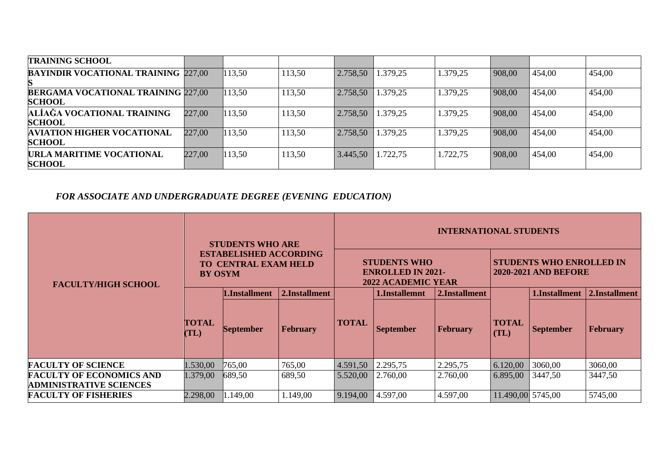| <b>TRAINING SCHOOL</b>                             |        |        |        |          |          |          |        |        |        |
|----------------------------------------------------|--------|--------|--------|----------|----------|----------|--------|--------|--------|
| <b>BAYINDIR VOCATIONAL TRAINING 227,00</b>         |        | 113,50 | 113,50 | 2.758,50 | 1.379,25 | 1.379,25 | 908,00 | 454,00 | 454,00 |
| <b>BERGAMA VOCATIONAL TRAINING 227,00</b>          |        | 113,50 | 113,50 | 2.758,50 | 1.379,25 | 1.379,25 | 908,00 | 454,00 | 454,00 |
| <b>SCHOOL</b>                                      |        |        |        |          |          |          |        |        |        |
| ALIAĞA VOCATIONAL TRAINING<br><b>SCHOOL</b>        | 227,00 | 113,50 | 113,50 | 2.758,50 | 1.379,25 | 1.379,25 | 908,00 | 454,00 | 454,00 |
| <b>AVIATION HIGHER VOCATIONAL</b><br><b>SCHOOL</b> | 227,00 | 113,50 | 113,50 | 2.758,50 | 1.379,25 | 1.379,25 | 908,00 | 454,00 | 454,00 |
| URLA MARITIME VOCATIONAL<br><b>SCHOOL</b>          | 227,00 | 113,50 | 113,50 | 3.445,50 | 1.722,75 | .722,75  | 908,00 | 454,00 | 454,00 |

# *FOR ASSOCIATE AND UNDERGRADUATE DEGREE (EVENING EDUCATION)*

|                                                                   | <b>STUDENTS WHO ARE</b> |                                                              |               | <b>INTERNATIONAL STUDENTS</b> |                                                                              |                 |                      |                                                                |                 |  |  |
|-------------------------------------------------------------------|-------------------------|--------------------------------------------------------------|---------------|-------------------------------|------------------------------------------------------------------------------|-----------------|----------------------|----------------------------------------------------------------|-----------------|--|--|
| <b>FACULTY/HIGH SCHOOL</b>                                        | <b>BY OSYM</b>          | <b>ESTABELISHED ACCORDING</b><br><b>TO CENTRAL EXAM HELD</b> |               |                               | <b>STUDENTS WHO</b><br><b>ENROLLED IN 2021-</b><br><b>2022 ACADEMIC YEAR</b> |                 |                      | <b>STUDENTS WHO ENROLLED IN</b><br><b>2020-2021 AND BEFORE</b> |                 |  |  |
|                                                                   |                         | .Installment                                                 | 2.Installment |                               | l.Installemnt                                                                | 2.Installment   |                      | <b>I.Installment</b>                                           | 2.Installment   |  |  |
|                                                                   | <b>TOTAL</b><br>(TL)    | <b>September</b>                                             | February      | <b>TOTAL</b>                  | <b>September</b>                                                             | <b>February</b> | <b>TOTAL</b><br>(TL) | <b>September</b>                                               | <b>February</b> |  |  |
| <b>FACULTY OF SCIENCE</b>                                         | 1.530,00                | 765,00                                                       | 765,00        | 4.591,50                      | 2.295,75                                                                     | 2.295,75        | 6.120,00             | 3060,00                                                        | 3060,00         |  |  |
| <b>FACULTY OF ECONOMICS AND</b><br><b>ADMINISTRATIVE SCIENCES</b> | 1.379,00                | 689,50                                                       | 689,50        | 5.520,00                      | 2.760,00                                                                     | 2.760,00        | 6.895,00             | 3447,50                                                        | 3447,50         |  |  |
| <b>FACULTY OF FISHERIES</b>                                       | 2.298,00                | 1.149,00                                                     | 1.149,00      | 9.194,00                      | 4.597,00                                                                     | 4.597,00        | $11.490,00$ 5745,00  |                                                                | 5745,00         |  |  |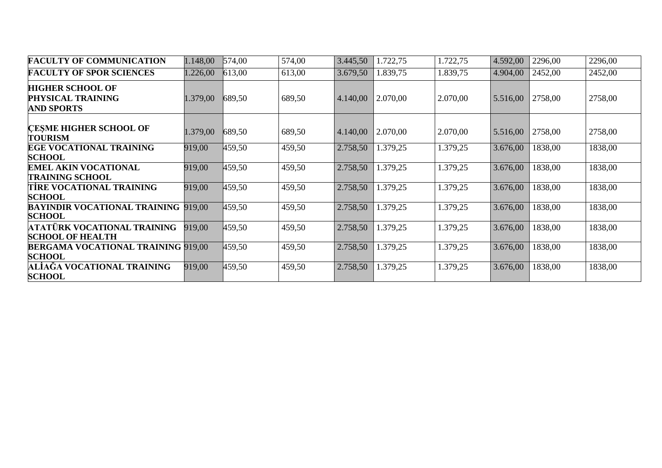| <b>FACULTY OF COMMUNICATION</b>                                   | 1.148,00 | 574,00 | 574,00 | 3.445,50 | 1.722,75 | 1.722,75 | 4.592,00 | 2296,00 | 2296,00 |
|-------------------------------------------------------------------|----------|--------|--------|----------|----------|----------|----------|---------|---------|
| <b>FACULTY OF SPOR SCIENCES</b>                                   | 1.226,00 | 613,00 | 613,00 | 3.679,50 | 1.839,75 | 1.839,75 | 4.904,00 | 2452,00 | 2452,00 |
| <b>HIGHER SCHOOL OF</b><br>PHYSICAL TRAINING<br><b>AND SPORTS</b> | 1.379,00 | 689,50 | 689,50 | 4.140,00 | 2.070,00 | 2.070,00 | 5.516,00 | 2758,00 | 2758,00 |
| <b>CESME HIGHER SCHOOL OF</b><br><b>TOURISM</b>                   | 1.379,00 | 689,50 | 689,50 | 4.140,00 | 2.070,00 | 2.070,00 | 5.516,00 | 2758,00 | 2758,00 |
| <b>EGE VOCATIONAL TRAINING</b><br><b>SCHOOL</b>                   | 919,00   | 459,50 | 459,50 | 2.758,50 | 1.379,25 | 1.379,25 | 3.676,00 | 1838,00 | 1838,00 |
| <b>EMEL AKIN VOCATIONAL</b><br><b>TRAINING SCHOOL</b>             | 919,00   | 459,50 | 459,50 | 2.758,50 | 1.379,25 | 1.379,25 | 3.676,00 | 1838,00 | 1838,00 |
| TIRE VOCATIONAL TRAINING<br><b>SCHOOL</b>                         | 919,00   | 459,50 | 459,50 | 2.758,50 | 1.379,25 | 1.379,25 | 3.676,00 | 1838,00 | 1838,00 |
| <b>BAYINDIR VOCATIONAL TRAINING 919.00</b><br><b>SCHOOL</b>       |          | 459,50 | 459,50 | 2.758,50 | 1.379,25 | 1.379,25 | 3.676,00 | 1838,00 | 1838,00 |
| ATATÜRK VOCATIONAL TRAINING-<br><b>SCHOOL OF HEALTH</b>           | 919,00   | 459,50 | 459,50 | 2.758,50 | 1.379,25 | 1.379,25 | 3.676,00 | 1838,00 | 1838,00 |
| <b>BERGAMA VOCATIONAL TRAINING 919,00</b><br><b>SCHOOL</b>        |          | 459,50 | 459,50 | 2.758,50 | 1.379,25 | 1.379,25 | 3.676,00 | 1838,00 | 1838,00 |
| ALIAĞA VOCATIONAL TRAINING<br><b>SCHOOL</b>                       | 919,00   | 459,50 | 459,50 | 2.758,50 | 1.379,25 | 1.379,25 | 3.676,00 | 1838,00 | 1838,00 |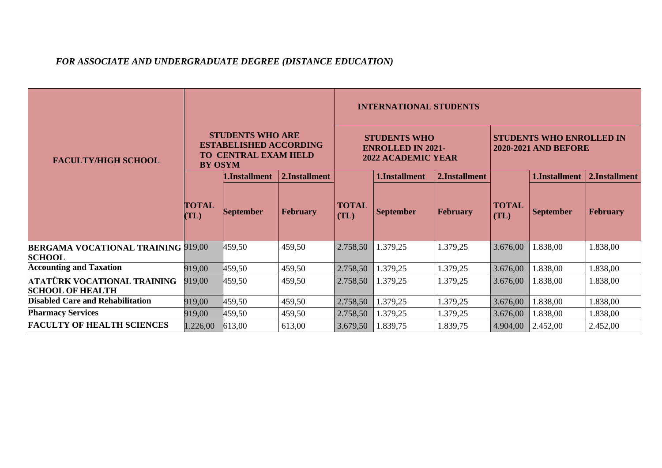## *FOR ASSOCIATE AND UNDERGRADUATE DEGREE (DISTANCE EDUCATION)*

|                                                            |                       |                                                                                      |                 | <b>INTERNATIONAL STUDENTS</b> |                                                                              |                 |                      |                                                                |                 |  |  |
|------------------------------------------------------------|-----------------------|--------------------------------------------------------------------------------------|-----------------|-------------------------------|------------------------------------------------------------------------------|-----------------|----------------------|----------------------------------------------------------------|-----------------|--|--|
| <b>FACULTY/HIGH SCHOOL</b>                                 | TO.<br><b>BY OSYM</b> | <b>STUDENTS WHO ARE</b><br><b>ESTABELISHED ACCORDING</b><br><b>CENTRAL EXAM HELD</b> |                 |                               | <b>STUDENTS WHO</b><br><b>ENROLLED IN 2021-</b><br><b>2022 ACADEMIC YEAR</b> |                 |                      | <b>STUDENTS WHO ENROLLED IN</b><br><b>2020-2021 AND BEFORE</b> |                 |  |  |
|                                                            |                       | 1.Installment                                                                        | 2.Installment   |                               | 1.Installment                                                                | 2.Installment   |                      | 1.Installment                                                  | 2.Installment   |  |  |
|                                                            | <b>TOTAL</b><br>(TL)  | <b>September</b>                                                                     | <b>February</b> | <b>TOTAL</b><br>(TL)          | <b>September</b>                                                             | <b>February</b> | <b>TOTAL</b><br>(TL) | <b>September</b>                                               | <b>February</b> |  |  |
| <b>BERGAMA VOCATIONAL TRAINING 919,00</b><br><b>SCHOOL</b> |                       | 459,50                                                                               | 459,50          | 2.758,50                      | 1.379,25                                                                     | 1.379,25        | 3.676,00             | 1.838,00                                                       | 1.838,00        |  |  |
| <b>Accounting and Taxation</b>                             | 919,00                | 459,50                                                                               | 459,50          | 2.758,50                      | 1.379,25                                                                     | 1.379,25        | 3.676,00             | 1.838,00                                                       | 1.838,00        |  |  |
| ATATÜRK VOCATIONAL TRAINING<br><b>SCHOOL OF HEALTH</b>     | 919,00                | 459,50                                                                               | 459,50          | 2.758,50                      | 1.379,25                                                                     | 1.379,25        | 3.676,00             | .838,00                                                        | 1.838,00        |  |  |
| <b>Disabled Care and Rehabilitation</b>                    | 919,00                | 459,50                                                                               | 459,50          | 2.758,50                      | 1.379,25                                                                     | 1.379,25        | 3.676,00             | 1.838,00                                                       | 1.838,00        |  |  |
| <b>Pharmacy Services</b>                                   | 919,00                | 459,50                                                                               | 459,50          | 2.758,50                      | 1.379,25                                                                     | 1.379,25        | 3.676,00             | 1.838,00                                                       | 1.838,00        |  |  |
| <b>FACULTY OF HEALTH SCIENCES</b>                          | 1.226,00              | 613,00                                                                               | 613,00          | 3.679,50                      | 1.839,75                                                                     | 1.839,75        | 4.904,00             | 2.452,00                                                       | 2.452,00        |  |  |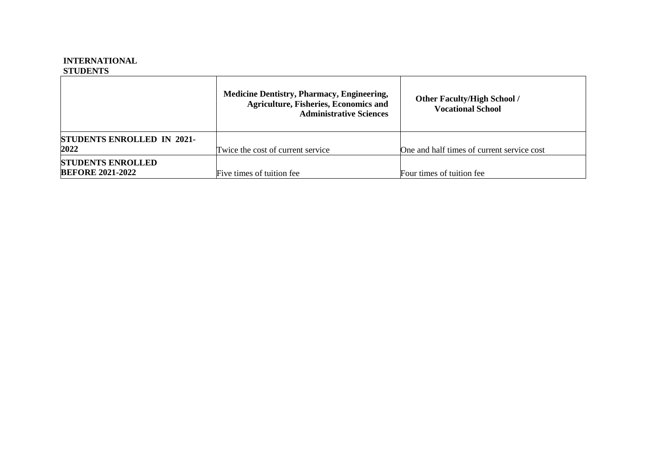#### **INTERNATIONAL STUDENTS**

|                                                     | <b>Medicine Dentistry, Pharmacy, Engineering,</b><br><b>Agriculture, Fisheries, Economics and</b><br><b>Administrative Sciences</b> | <b>Other Faculty/High School /</b><br><b>Vocational School</b> |
|-----------------------------------------------------|-------------------------------------------------------------------------------------------------------------------------------------|----------------------------------------------------------------|
| <b>STUDENTS ENROLLED IN 2021-</b><br>2022           | Twice the cost of current service                                                                                                   | One and half times of current service cost                     |
| <b>STUDENTS ENROLLED</b><br><b>BEFORE 2021-2022</b> | Five times of tuition fee.                                                                                                          | Four times of tuition fee.                                     |